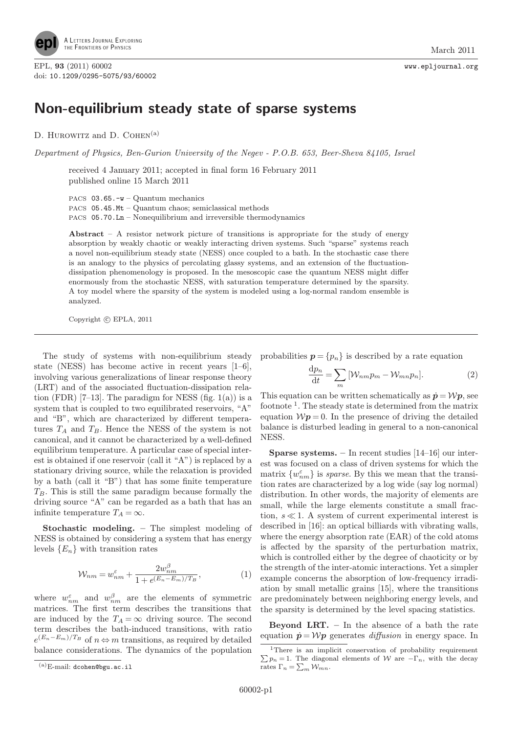

EPL, 93 (2011) 60002 www.epljournal.org doi: 10.1209/0295-5075/93/60002

## Non-equilibrium steady state of sparse systems

D. HUROWITZ and D. COHEN<sup>(a)</sup>

Department of Physics, Ben-Gurion University of the Negev - P.O.B. 653, Beer-Sheva 84105, Israel

received 4 January 2011; accepted in final form 16 February 2011 published online 15 March 2011

PACS 03.65.-w – Quantum mechanics

PACS 05.45.Mt – Quantum chaos; semiclassical methods PACS 05.70.Ln – Nonequilibrium and irreversible thermodynamics

Abstract – A resistor network picture of transitions is appropriate for the study of energy absorption by weakly chaotic or weakly interacting driven systems. Such "sparse" systems reach a novel non-equilibrium steady state (NESS) once coupled to a bath. In the stochastic case there is an analogy to the physics of percolating glassy systems, and an extension of the fluctuationdissipation phenomenology is proposed. In the mesoscopic case the quantum NESS might differ enormously from the stochastic NESS, with saturation temperature determined by the sparsity. A toy model where the sparsity of the system is modeled using a log-normal random ensemble is analyzed.

Copyright  $\odot$  EPLA, 2011

The study of systems with non-equilibrium steady probabilities  $p = \{p_n\}$  is described by a rate equation state (NESS) has become active in recent years [1–6], involving various generalizations of linear response theory (LRT) and of the associated fluctuation-dissipation relation (FDR) [7–13]. The paradigm for NESS (fig.  $1(a)$ ) is a system that is coupled to two equilibrated reservoirs, "A" and "B", which are characterized by different temperatures  $T_A$  and  $T_B$ . Hence the NESS of the system is not canonical, and it cannot be characterized by a well-defined equilibrium temperature. A particular case of special interest is obtained if one reservoir (call it "A") is replaced by a stationary driving source, while the relaxation is provided by a bath (call it "B") that has some finite temperature  $T_B$ . This is still the same paradigm because formally the driving source "A" can be regarded as a bath that has an infinite temperature  $T_A = \infty$ .

Stochastic modeling. – The simplest modeling of NESS is obtained by considering a system that has energy levels  ${E_n}$  with transition rates

$$
W_{nm} = w_{nm}^{\varepsilon} + \frac{2w_{nm}^{\beta}}{1 + e^{(E_n - E_m)/T_B}},
$$
\n(1)

where  $w_{nm}^{\varepsilon}$  and  $w_{nm}^{\beta}$  are the elements of symmetric matrices. The first term describes the transitions that are induced by the  $T_A = \infty$  driving source. The second term describes the bath-induced transitions, with ratio  $e^{(E_n - E_m)/T_B}$  of  $n \Leftrightarrow m$  transitions, as required by detailed balance considerations. The dynamics of the population

$$
\frac{\mathrm{d}p_n}{\mathrm{d}t} = \sum_m \left[ \mathcal{W}_{nm} p_m - \mathcal{W}_{mn} p_n \right]. \tag{2}
$$

This equation can be written schematically as  $\dot{p} = \mathcal{W}p$ , see footnote<sup>1</sup>. The steady state is determined from the matrix equation  $Wp = 0$ . In the presence of driving the detailed balance is disturbed leading in general to a non-canonical NESS.

**Sparse systems.** – In recent studies  $[14–16]$  our interest was focused on a class of driven systems for which the matrix  $\{w_{nm}^{\varepsilon}\}$  is *sparse*. By this we mean that the transition rates are characterized by a log wide (say log normal) distribution. In other words, the majority of elements are small, while the large elements constitute a small fraction,  $s \ll 1$ . A system of current experimental interest is described in [16]: an optical billiards with vibrating walls, where the energy absorption rate (EAR) of the cold atoms is affected by the sparsity of the perturbation matrix, which is controlled either by the degree of chaoticity or by the strength of the inter-atomic interactions. Yet a simpler example concerns the absorption of low-frequency irradiation by small metallic grains [15], where the transitions are predominately between neighboring energy levels, and the sparsity is determined by the level spacing statistics.

**Beyond LRT.**  $-$  In the absence of a bath the rate equation  $\dot{p} = Wp$  generates *diffusion* in energy space. In

 $(a)$ E-mail: dcohen@bgu.ac.il

 $\sum p_n = 1$ . The diagonal elements of W are  $-\Gamma_n$ , with the decay <sup>1</sup>There is an implicit conservation of probability requirement rates  $\Gamma_n = \sum_m \mathcal{W}_{mn}$ .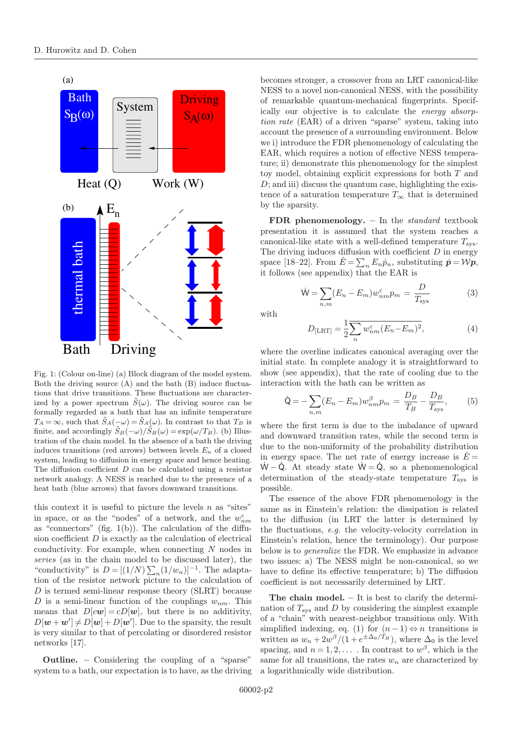

Fig. 1: (Colour on-line) (a) Block diagram of the model system. Both the driving source (A) and the bath (B) induce fluctuations that drive transitions. These fluctuations are characterized by a power spectrum  $\tilde{S}(\omega)$ . The driving source can be formally regarded as a bath that has an infinite temperature  $T_A = \infty$ , such that  $\tilde{S}_A(-\omega) = \tilde{S}_A(\omega)$ . In contrast to that  $T_B$  is finite, and accordingly  $\tilde{S}_B(-\omega)/\tilde{S}_B(\omega) = \exp(\omega/T_B)$ . (b) Illustration of the chain model. In the absence of a bath the driving induces transitions (red arrows) between levels  $E_n$  of a closed system, leading to diffusion in energy space and hence heating. The diffusion coefficient  $D$  can be calculated using a resistor network analogy. A NESS is reached due to the presence of a heat bath (blue arrows) that favors downward transitions.

this context it is useful to picture the levels  $n$  as "sites" in space, or as the "nodes" of a network, and the  $w_{nm}^\varepsilon$ as "connectors" (fig.  $1(b)$ ). The calculation of the diffusion coefficient  $D$  is exactly as the calculation of electrical conductivity. For example, when connecting N nodes in series (as in the chain model to be discussed later), the "conductivity" is  $D = [(1/N) \sum_n (1/w_n)]^{-1}$ . The adaptation of the resistor network picture to the calculation of D is termed semi-linear response theory (SLRT) because D is a semi-linear function of the couplings  $w_{nm}$ . This means that  $D[cw] = cD[w]$ , but there is no additivity,  $D[\mathbf{w}+\mathbf{w}'] \neq D[\mathbf{w}]+D[\mathbf{w}']$ . Due to the sparsity, the result is very similar to that of percolating or disordered resistor networks [17].

Outline. – Considering the coupling of a "sparse" system to a bath, our expectation is to have, as the driving

becomes stronger, a crossover from an LRT canonical-like NESS to a novel non-canonical NESS, with the possibility of remarkable quantum-mechanical fingerprints. Specifically our objective is to calculate the energy absorption rate (EAR) of a driven "sparse" system, taking into account the presence of a surrounding environment. Below we i) introduce the FDR phenomenology of calculating the EAR, which requires a notion of effective NESS temperature; ii) demonstrate this phenomenology for the simplest toy model, obtaining explicit expressions for both T and  $D$ ; and iii) discuss the quantum case, highlighting the existence of a saturation temperature  $T_{\infty}$  that is determined by the sparsity.

FDR phenomenology. - In the standard textbook presentation it is assumed that the system reaches a canonical-like state with a well-defined temperature  $T_{\text{sys}}$ . The driving induces diffusion with coefficient  $D$  in energy space [18–22]. From  $\dot{E} = \sum_n E_n \dot{p}_n$ , substituting  $\dot{p} = \mathcal{W}\dot{p}$ , it follows (see appendix) that the EAR is

$$
\dot{\mathsf{W}} = \sum_{n,m} (E_n - E_m) w_{nm}^{\varepsilon} p_m = \frac{D}{T_{\text{sys}}} \tag{3}
$$

with

$$
D_{\text{[LRT]}} = \frac{1}{2} \sum_{n} w_{nm}^{\varepsilon} (E_n - E_m)^2,
$$
\n(4)

where the overline indicates canonical averaging over the initial state. In complete analogy it is straightforward to show (see appendix), that the rate of cooling due to the interaction with the bath can be written as

$$
\dot{\mathbf{Q}} = -\sum_{n,m} (E_n - E_m) w_{nm}^{\beta} p_m = \frac{D_B}{T_B} - \frac{D_B}{T_{\text{sys}}},\tag{5}
$$

where the first term is due to the imbalance of upward and downward transition rates, while the second term is due to the non-uniformity of the probability distribution in energy space. The net rate of energy increase is  $E =$  $W - \dot{Q}$ . At steady state  $\dot{W} = \dot{Q}$ , so a phenomenological determination of the steady-state temperature  $T_{\text{sys}}$  is possible.

The essence of the above FDR phenomenology is the same as in Einstein's relation: the dissipation is related to the diffusion (in LRT the latter is determined by the fluctuations, e.g. the velocity-velocity correlation in Einstein's relation, hence the terminology). Our purpose below is to generalize the FDR. We emphasize in advance two issues: a) The NESS might be non-canonical, so we have to define its effective temperature; b) The diffusion coefficient is not necessarily determined by LRT.

The chain model.  $-$  It is best to clarify the determination of  $T_{\rm sys}$  and D by considering the simplest example of a "chain" with nearest-neighbor transitions only. With simplified indexing, eq. (1) for  $(n-1) \Leftrightarrow n$  transitions is written as  $w_n + 2w^{\beta}/(1 + e^{\pm \Delta_0/T_B})$ , where  $\Delta_0$  is the level spacing, and  $n = 1, 2, \ldots$ . In contrast to  $w^{\beta}$ , which is the same for all transitions, the rates  $w_n$  are characterized by a logarithmically wide distribution.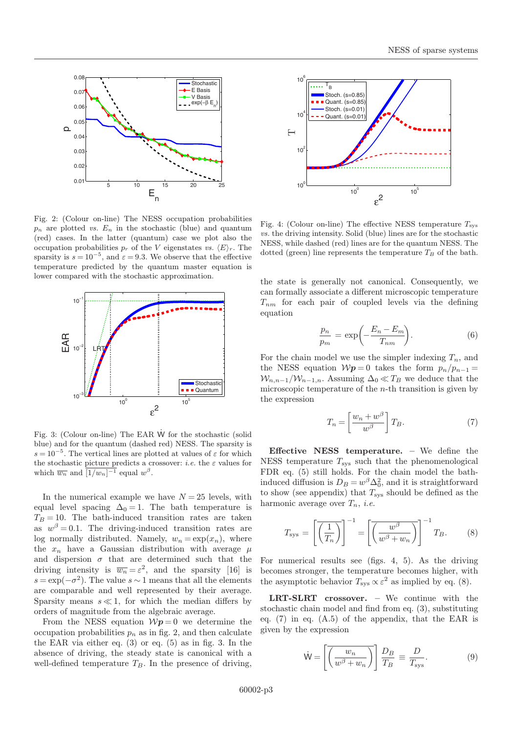

Fig. 2: (Colour on-line) The NESS occupation probabilities  $p_n$  are plotted *vs.*  $E_n$  in the stochastic (blue) and quantum (red) cases. In the latter (quantum) case we plot also the occupation probabilities  $p_r$  of the V eigenstates vs.  $\langle E \rangle_r$ . The sparsity is  $s = 10^{-5}$ , and  $\varepsilon = 9.3$ . We observe that the effective temperature predicted by the quantum master equation is lower compared with the stochastic approximation.



Fig. 3: (Colour on-line) The EAR W˙ for the stochastic (solid blue) and for the quantum (dashed red) NESS. The sparsity is  $s = 10^{-5}$ . The vertical lines are plotted at values of  $\varepsilon$  for which the stochastic picture predicts a crossover: *i.e.* the  $\varepsilon$  values for which  $\overline{w_n}$  and  $\overline{[1/w_n]^{-1}}$  equal  $w^{\beta}$ .

In the numerical example we have  $N = 25$  levels, with equal level spacing  $\Delta_0 = 1$ . The bath temperature is  $T_B = 10$ . The bath-induced transition rates are taken as  $w^{\beta} = 0.1$ . The driving-induced transition rates are log normally distributed. Namely,  $w_n = \exp(x_n)$ , where the  $x_n$  have a Gaussian distribution with average  $\mu$ and dispersion  $\sigma$  that are determined such that the driving intensity is  $\overline{w_n} = \varepsilon^2$ , and the sparsity [16] is  $s = \exp(-\sigma^2)$ . The value  $s \sim 1$  means that all the elements are comparable and well represented by their average. Sparsity means  $s \ll 1$ , for which the median differs by orders of magnitude from the algebraic average.

From the NESS equation  $Wp = 0$  we determine the occupation probabilities  $p_n$  as in fig. 2, and then calculate the EAR via either eq. (3) or eq. (5) as in fig. 3. In the absence of driving, the steady state is canonical with a well-defined temperature  $T_B$ . In the presence of driving,



Fig. 4: (Colour on-line) The effective NESS temperature  $T_{\rm sys}$ vs. the driving intensity. Solid (blue) lines are for the stochastic NESS, while dashed (red) lines are for the quantum NESS. The dotted (green) line represents the temperature  $T_B$  of the bath.

the state is generally not canonical. Consequently, we can formally associate a different microscopic temperature  $T_{nm}$  for each pair of coupled levels via the defining equation

$$
\frac{p_n}{p_m} = \exp\left(-\frac{E_n - E_m}{T_{nm}}\right). \tag{6}
$$

For the chain model we use the simpler indexing  $T_n$ , and the NESS equation  $Wp = 0$  takes the form  $p_n/p_{n-1} =$  $W_{n,n-1}/W_{n-1,n}$ . Assuming  $\Delta_0 \ll T_B$  we deduce that the microscopic temperature of the  $n$ -th transition is given by the expression

$$
T_n = \left[\frac{w_n + w^{\beta}}{w^{\beta}}\right]T_B.
$$
\n(7)

Effective NESS temperature. – We define the NESS temperature  $T_{\text{sys}}$  such that the phenomenological FDR eq. (5) still holds. For the chain model the bathinduced diffusion is  $D_B = w^{\beta} \Delta_0^2$ , and it is straightforward to show (see appendix) that  $T_{\rm sys}$  should be defined as the harmonic average over  $T_n$ , *i.e.* 

$$
T_{\rm sys} = \left[ \overline{\left( \frac{1}{T_n} \right)} \right]^{-1} = \left[ \overline{\left( \frac{w^{\beta}}{w^{\beta} + w_n} \right)} \right]^{-1} T_B. \tag{8}
$$

For numerical results see (figs. 4, 5). As the driving becomes stronger, the temperature becomes higher, with the asymptotic behavior  $T_{sys} \propto \varepsilon^2$  as implied by eq. (8).

LRT-SLRT crossover. – We continue with the stochastic chain model and find from eq. (3), substituting eq. (7) in eq. (A.5) of the appendix, that the EAR is given by the expression

$$
\dot{\mathsf{W}} = \left[ \overline{\left( \frac{w_n}{w^{\beta} + w_n} \right)} \right] \frac{D_B}{T_B} \equiv \frac{D}{T_{\text{sys}}}.
$$
\n(9)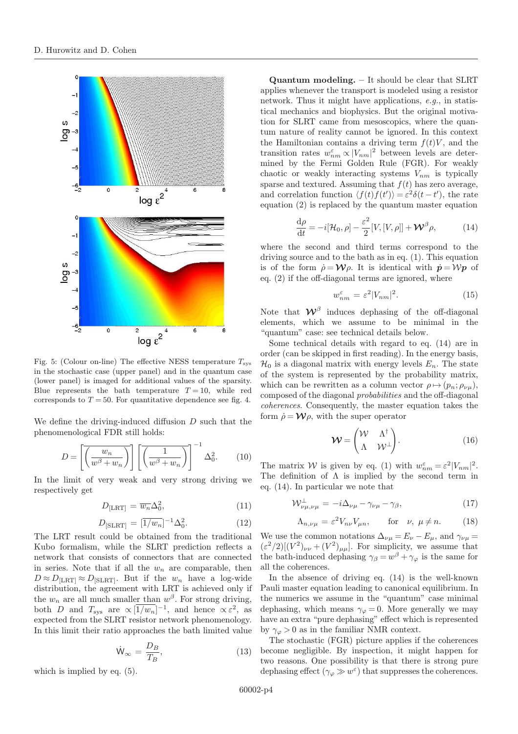

Fig. 5: (Colour on-line) The effective NESS temperature  $T_{\rm sys}$ in the stochastic case (upper panel) and in the quantum case (lower panel) is imaged for additional values of the sparsity. Blue represents the bath temperature  $T = 10$ , while red corresponds to  $T = 50$ . For quantitative dependence see fig. 4.

We define the driving-induced diffusion D such that the phenomenological FDR still holds:

$$
D = \left[ \overline{\left( \frac{w_n}{w^{\beta} + w_n} \right)} \right] \left[ \overline{\left( \frac{1}{w^{\beta} + w_n} \right)} \right]^{-1} \Delta_0^2.
$$
 (10)

In the limit of very weak and very strong driving we respectively get

$$
D_{\text{[LRT]}} = \overline{w_n} \Delta_0^2,\tag{11}
$$

$$
D_{\text{[SLRT]}} = [\overline{1/w_n}]^{-1} \Delta_0^2. \tag{12}
$$

The LRT result could be obtained from the traditional Kubo formalism, while the SLRT prediction reflects a network that consists of connectors that are connected in series. Note that if all the  $w_n$  are comparable, then  $D \approx D_{\text{[LRT]}} \approx D_{\text{[SLRT]}}$ . But if the  $w_n$  have a log-wide distribution, the agreement with LRT is achieved only if the  $w_n$  are all much smaller than  $w^{\beta}$ . For strong driving, both D and  $T_{sys}$  are  $\propto$   $\left[\overline{1/w_n}\right]^{-1}$ , and hence  $\propto$   $\varepsilon^2$ , as expected from the SLRT resistor network phenomenology. In this limit their ratio approaches the bath limited value

$$
\dot{\mathsf{W}}_{\infty} = \frac{D_B}{T_B},\tag{13}
$$

which is implied by eq. (5).

Quantum modeling. – It should be clear that SLRT applies whenever the transport is modeled using a resistor network. Thus it might have applications, e.g., in statistical mechanics and biophysics. But the original motivation for SLRT came from mesoscopics, where the quantum nature of reality cannot be ignored. In this context the Hamiltonian contains a driving term  $f(t)V$ , and the transition rates  $w_{nm}^{\varepsilon} \propto |V_{nm}|^2$  between levels are determined by the Fermi Golden Rule (FGR). For weakly chaotic or weakly interacting systems  $V_{nm}$  is typically sparse and textured. Assuming that  $f(t)$  has zero average, and correlation function  $\langle f(t) f(t') \rangle = \varepsilon^2 \delta(t - t')$ , the rate equation (2) is replaced by the quantum master equation

$$
\frac{\mathrm{d}\rho}{\mathrm{d}t} = -i[\mathcal{H}_0, \rho] - \frac{\varepsilon^2}{2} [V, [V, \rho]] + \mathcal{W}^\beta \rho,\tag{14}
$$

where the second and third terms correspond to the driving source and to the bath as in eq. (1). This equation is of the form  $\dot{\rho} = W\rho$ . It is identical with  $\dot{\rho} = Wp$  of eq. (2) if the off-diagonal terms are ignored, where

$$
w_{nm}^{\varepsilon} = \varepsilon^2 |V_{nm}|^2. \tag{15}
$$

Note that  $\mathcal{W}^{\beta}$  induces dephasing of the off-diagonal elements, which we assume to be minimal in the "quantum" case: see technical details below.

Some technical details with regard to eq. (14) are in order (can be skipped in first reading). In the energy basis,  $\mathcal{H}_0$  is a diagonal matrix with energy levels  $E_n$ . The state of the system is represented by the probability matrix, which can be rewritten as a column vector  $\rho \mapsto (p_n; \rho_{\nu\mu}),$ composed of the diagonal probabilities and the off-diagonal coherences. Consequently, the master equation takes the form  $\dot{\rho} = \mathcal{W}\rho$ , with the super operator

$$
\mathbf{W} = \begin{pmatrix} \mathcal{W} & \Lambda^{\dagger} \\ \Lambda & \mathcal{W}^{\perp} \end{pmatrix} . \tag{16}
$$

The matrix W is given by eq. (1) with  $w_{nm}^{\varepsilon} = \varepsilon^2 |V_{nm}|^2$ . The definition of  $\Lambda$  is implied by the second term in eq. (14). In particular we note that

$$
\mathcal{W}_{\nu\mu,\nu\mu}^{\perp} = -i\Delta_{\nu\mu} - \gamma_{\nu\mu} - \gamma_{\beta},\tag{17}
$$

$$
\Lambda_{n,\nu\mu} = \varepsilon^2 V_{n\nu} V_{\mu n}, \qquad \text{for} \quad \nu, \ \mu \neq n. \tag{18}
$$

We use the common notations  $\Delta_{\nu\mu} = E_{\nu} - E_{\mu}$ , and  $\gamma_{\nu\mu} =$  $(\varepsilon^2/2)[(V^2)_{\nu\nu}+(V^2)_{\mu\mu}]$ . For simplicity, we assume that the bath-induced dephasing  $\gamma_{\beta} = w^{\beta} + \gamma_{\varphi}$  is the same for all the coherences.

In the absence of driving eq. (14) is the well-known Pauli master equation leading to canonical equilibrium. In the numerics we assume in the "quantum" case minimal dephasing, which means  $\gamma_{\varphi} = 0$ . More generally we may have an extra "pure dephasing" effect which is represented by  $\gamma_{\varphi} > 0$  as in the familiar NMR context.

The stochastic (FGR) picture applies if the coherences become negligible. By inspection, it might happen for two reasons. One possibility is that there is strong pure dephasing effect  $(\gamma_{\varphi} \gg w^{\varepsilon})$  that suppresses the coherences.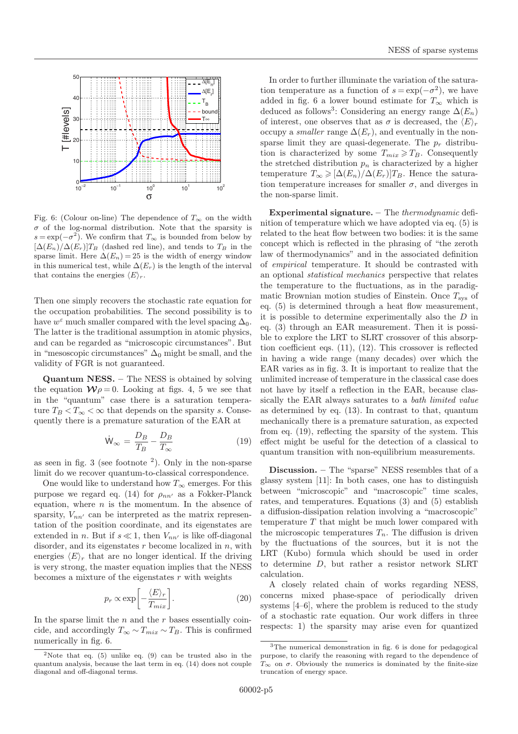

Fig. 6: (Colour on-line) The dependence of  $T_{\infty}$  on the width  $\sigma$  of the log-normal distribution. Note that the sparsity is  $s = \exp(-\sigma^2)$ . We confirm that  $T_{\infty}$  is bounded from below by  $[\Delta(E_n)/\Delta(E_r)]T_B$  (dashed red line), and tends to  $T_B$  in the sparse limit. Here  $\Delta(E_n) = 25$  is the width of energy window in this numerical test, while  $\Delta(E_r)$  is the length of the interval that contains the energies  $\langle E \rangle_r$ .

Then one simply recovers the stochastic rate equation for the occupation probabilities. The second possibility is to have  $w^{\varepsilon}$  much smaller compared with the level spacing  $\Delta_0$ . The latter is the traditional assumption in atomic physics, and can be regarded as "microscopic circumstances". But in "mesoscopic circumstances"  $\Delta_0$  might be small, and the validity of FGR is not guaranteed.

Quantum NESS. – The NESS is obtained by solving the equation  $\mathcal{W}\rho = 0$ . Looking at figs. 4, 5 we see that in the "quantum" case there is a saturation temperature  $T_B < T_\infty < \infty$  that depends on the sparsity s. Consequently there is a premature saturation of the EAR at

$$
\dot{W}_{\infty} = \frac{D_B}{T_B} - \frac{D_B}{T_{\infty}} \tag{19}
$$

as seen in fig.  $3$  (see footnote  $^2$ ). Only in the non-sparse limit do we recover quantum-to-classical correspondence.

One would like to understand how  $T_{\infty}$  emerges. For this purpose we regard eq. (14) for  $\rho_{nn'}$  as a Fokker-Planck equation, where  $n$  is the momentum. In the absence of sparsity,  $V_{nn'}$  can be interpreted as the matrix representation of the position coordinate, and its eigenstates are extended in n. But if  $s \ll 1$ , then  $V_{nn'}$  is like off-diagonal disorder, and its eigenstates  $r$  become localized in  $n$ , with energies  $\langle E \rangle_r$  that are no longer identical. If the driving is very strong, the master equation implies that the NESS becomes a mixture of the eigenstates  $r$  with weights

$$
p_r \propto \exp\left[-\frac{\langle E \rangle_r}{T_{mix}}\right].\tag{20}
$$

In the sparse limit the  $n$  and the  $r$  bases essentially coincide, and accordingly  $T_{\infty} \sim T_{mix} \sim T_B$ . This is confirmed numerically in fig. 6.

In order to further illuminate the variation of the saturation temperature as a function of  $s = \exp(-\sigma^2)$ , we have added in fig. 6 a lower bound estimate for  $T_{\infty}$  which is deduced as follows<sup>3</sup>: Considering an energy range  $\Delta(E_n)$ of interest, one observes that as  $\sigma$  is decreased, the  $\langle E \rangle_r$ occupy a *smaller* range  $\Delta(E_r)$ , and eventually in the nonsparse limit they are quasi-degenerate. The  $p_r$  distribution is characterized by some  $T_{mix} \geq T_B$ . Consequently the stretched distribution  $p_n$  is characterized by a higher temperature  $T_{\infty} \geqslant [\Delta(E_n)/\Delta(E_r)]T_B$ . Hence the saturation temperature increases for smaller  $\sigma$ , and diverges in the non-sparse limit.

Experimental signature.  $-$  The *thermodynamic* definition of temperature which we have adopted via eq. (5) is related to the heat flow between two bodies: it is the same concept which is reflected in the phrasing of "the zeroth law of thermodynamics" and in the associated definition of empirical temperature. It should be contrasted with an optional statistical mechanics perspective that relates the temperature to the fluctuations, as in the paradigmatic Brownian motion studies of Einstein. Once  $T_{sys}$  of eq. (5) is determined through a heat flow measurement, it is possible to determine experimentally also the D in eq. (3) through an EAR measurement. Then it is possible to explore the LRT to SLRT crossover of this absorption coefficient eqs. (11), (12). This crossover is reflected in having a wide range (many decades) over which the EAR varies as in fig. 3. It is important to realize that the unlimited increase of temperature in the classical case does not have by itself a reflection in the EAR, because classically the EAR always saturates to a *bath limited value* as determined by eq. (13). In contrast to that, quantum mechanically there is a premature saturation, as expected from eq. (19), reflecting the sparsity of the system. This effect might be useful for the detection of a classical to quantum transition with non-equilibrium measurements.

Discussion. – The "sparse" NESS resembles that of a glassy system [11]: In both cases, one has to distinguish between "microscopic" and "macroscopic" time scales, rates, and temperatures. Equations (3) and (5) establish a diffusion-dissipation relation involving a "macroscopic" temperature  $T$  that might be much lower compared with the microscopic temperatures  $T_n$ . The diffusion is driven by the fluctuations of the sources, but it is not the LRT (Kubo) formula which should be used in order to determine D, but rather a resistor network SLRT calculation.

A closely related chain of works regarding NESS, concerns mixed phase-space of periodically driven systems [4–6], where the problem is reduced to the study of a stochastic rate equation. Our work differs in three respects: 1) the sparsity may arise even for quantized

<sup>&</sup>lt;sup>2</sup>Note that eq. (5) unlike eq. (9) can be trusted also in the quantum analysis, because the last term in eq. (14) does not couple diagonal and off-diagonal terms.

<sup>3</sup>The numerical demonstration in fig. 6 is done for pedagogical purpose, to clarify the reasoning with regard to the dependence of  $T_{\infty}$  on  $\sigma$ . Obviously the numerics is dominated by the finite-size truncation of energy space.